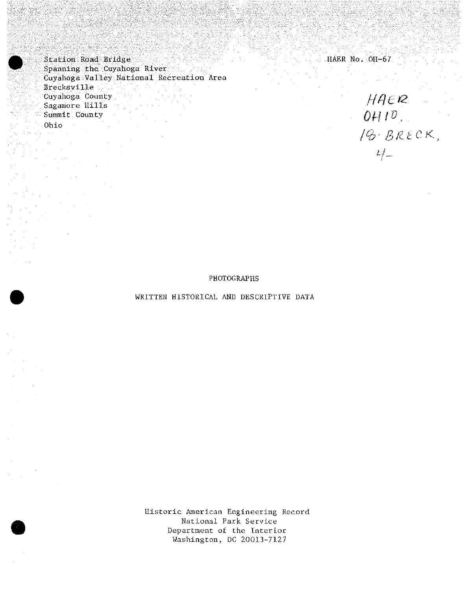HAER No. OH-67

*HAER*<br>*OHID*,<br>*18. BRECK*,

 $L_{\ell}^{2}$ 

Station Road Bridge , Spanning the Cuyahoga River Cuyahoga Valley National Recreation Area Brecksville Cuyahoga County Sagamore Hills Summit County

Ohio

PHOTOGRAPHS

## WRITTEN HISTORICAL AND DESCRIPTIVE DATA

Historic American Engineering Record National Park Service Department of the Interior Washington, DC 20013-7127